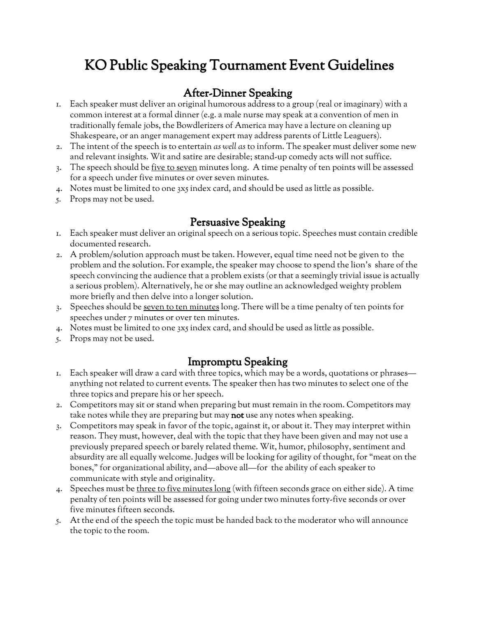# KO Public Speaking Tournament Event Guidelines

### After-Dinner Speaking

- 1. Each speaker must deliver an original humorous address to a group (real or imaginary) with a common interest at a formal dinner (e.g. a male nurse may speak at a convention of men in traditionally female jobs, the Bowdlerizers of America may have a lecture on cleaning up Shakespeare, or an anger management expert may address parents of Little Leaguers).
- 2. The intent of the speech is to entertain *as well as* to inform. The speaker must deliver some new and relevant insights. Wit and satire are desirable; stand-up comedy acts will not suffice.
- 3. The speech should be <u>five to seven</u> minutes long. A time penalty of ten points will be assessed for a speech under five minutes or over seven minutes.
- 4. Notes must be limited to one 3x5 index card, and should be used as little as possible.
- 5. Props may not be used.

#### Persuasive Speaking

- 1. Each speaker must deliver an original speech on a serious topic. Speeches must contain credible documented research.
- 2. A problem/solution approach must be taken. However, equal time need not be given to the problem and the solution. For example, the speaker may choose to spend the lion's share of the speech convincing the audience that a problem exists (or that a seemingly trivial issue is actually a serious problem). Alternatively, he or she may outline an acknowledged weighty problem more briefly and then delve into a longer solution.
- 3. Speeches should be seven to ten minutes long. There will be a time penalty of ten points for speeches under 7 minutes or over ten minutes.
- 4. Notes must be limited to one 3x5 index card, and should be used as little as possible.
- 5. Props may not be used.

#### Impromptu Speaking

- 1. Each speaker will draw a card with three topics, which may be a words, quotations or phrases anything not related to current events. The speaker then has two minutes to select one of the three topics and prepare his or her speech.
- 2. Competitors may sit or stand when preparing but must remain in the room. Competitors may take notes while they are preparing but may not use any notes when speaking.
- 3. Competitors may speak in favor of the topic, against it, or about it. They may interpret within reason. They must, however, deal with the topic that they have been given and may not use a previously prepared speech or barely related theme. Wit, humor, philosophy, sentiment and absurdity are all equally welcome. Judges will be looking for agility of thought, for "meat on the bones," for organizational ability, and—above all—for the ability of each speaker to communicate with style and originality.
- 4. Speeches must be three to five minutes long (with fifteen seconds grace on either side). A time penalty of ten points will be assessed for going under two minutes forty-five seconds or over five minutes fifteen seconds.
- 5. At the end of the speech the topic must be handed back to the moderator who will announce the topic to the room.